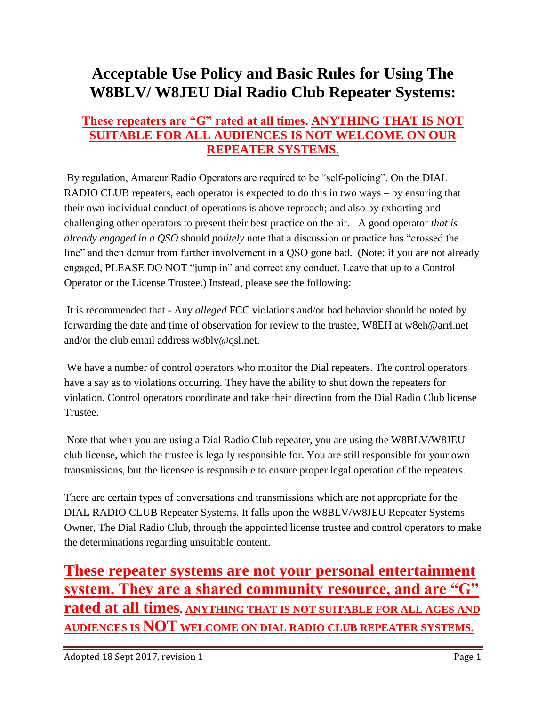## **Acceptable Use Policy and Basic Rules for Using The W8BLV/ W8JEU Dial Radio Club Repeater Systems:**

#### **These repeaters are "G" rated at all times. ANYTHING THAT IS NOT SUITABLE FOR ALL AUDIENCES IS NOT WELCOME ON OUR REPEATER SYSTEMS.**

By regulation, Amateur Radio Operators are required to be "self-policing". On the DIAL RADIO CLUB repeaters, each operator is expected to do this in two ways – by ensuring that their own individual conduct of operations is above reproach; and also by exhorting and challenging other operators to present their best practice on the air. A good operator *that is already engaged in a QSO* should *politely* note that a discussion or practice has "crossed the line" and then demur from further involvement in a QSO gone bad. (Note: if you are not already engaged, PLEASE DO NOT "jump in" and correct any conduct. Leave that up to a Control Operator or the License Trustee.) Instead, please see the following:

It is recommended that - Any *alleged* FCC violations and/or bad behavior should be noted by forwarding the date and time of observation for review to the trustee, W8EH at w8eh@arrl.net and/or the club email address w8blv@qsl.net.

We have a number of control operators who monitor the Dial repeaters. The control operators have a say as to violations occurring. They have the ability to shut down the repeaters for violation. Control operators coordinate and take their direction from the Dial Radio Club license Trustee.

Note that when you are using a Dial Radio Club repeater, you are using the W8BLV/W8JEU club license, which the trustee is legally responsible for. You are still responsible for your own transmissions, but the licensee is responsible to ensure proper legal operation of the repeaters.

There are certain types of conversations and transmissions which are not appropriate for the DIAL RADIO CLUB Repeater Systems. It falls upon the W8BLV/W8JEU Repeater Systems Owner, The Dial Radio Club, through the appointed license trustee and control operators to make the determinations regarding unsuitable content.

**These repeater systems are not your personal entertainment system. They are a shared community resource, and are "G" rated at all times. ANYTHING THAT IS NOT SUITABLE FOR ALL AGES AND AUDIENCES IS NOT WELCOME ON DIAL RADIO CLUB REPEATER SYSTEMS.**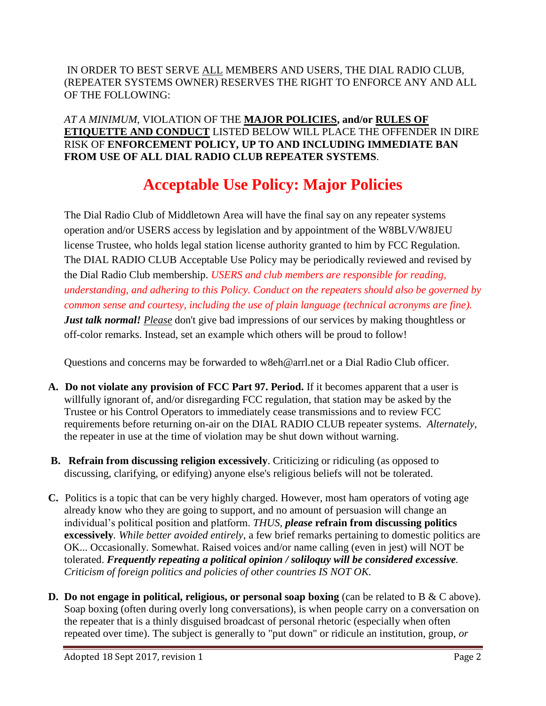IN ORDER TO BEST SERVE ALL MEMBERS AND USERS, THE DIAL RADIO CLUB, (REPEATER SYSTEMS OWNER) RESERVES THE RIGHT TO ENFORCE ANY AND ALL OF THE FOLLOWING:

*AT A MINIMUM*, VIOLATION OF THE **MAJOR POLICIES, and/or RULES OF ETIQUETTE AND CONDUCT** LISTED BELOW WILL PLACE THE OFFENDER IN DIRE RISK OF **ENFORCEMENT POLICY, UP TO AND INCLUDING IMMEDIATE BAN FROM USE OF ALL DIAL RADIO CLUB REPEATER SYSTEMS**.

# **Acceptable Use Policy: Major Policies**

The Dial Radio Club of Middletown Area will have the final say on any repeater systems operation and/or USERS access by legislation and by appointment of the W8BLV/W8JEU license Trustee, who holds legal station license authority granted to him by FCC Regulation. The DIAL RADIO CLUB Acceptable Use Policy may be periodically reviewed and revised by the Dial Radio Club membership. *USERS and club members are responsible for reading, understanding, and adhering to this Policy. Conduct on the repeaters should also be governed by common sense and courtesy, including the use of plain language (technical acronyms are fine). Just talk normal! Please* don't give bad impressions of our services by making thoughtless or off-color remarks. Instead, set an example which others will be proud to follow!

Questions and concerns may be forwarded to w8eh@arrl.net or a Dial Radio Club officer.

- **A. Do not violate any provision of FCC Part 97. Period.** If it becomes apparent that a user is willfully ignorant of, and/or disregarding FCC regulation, that station may be asked by the Trustee or his Control Operators to immediately cease transmissions and to review FCC requirements before returning on-air on the DIAL RADIO CLUB repeater systems. *Alternately*, the repeater in use at the time of violation may be shut down without warning.
- **B. Refrain from discussing religion excessively**. Criticizing or ridiculing (as opposed to discussing, clarifying, or edifying) anyone else's religious beliefs will not be tolerated.
- **C.** Politics is a topic that can be very highly charged. However, most ham operators of voting age already know who they are going to support, and no amount of persuasion will change an individual's political position and platform. *THUS, please* **refrain from discussing politics excessively***. While better avoided entirely*, a few brief remarks pertaining to domestic politics are OK... Occasionally. Somewhat. Raised voices and/or name calling (even in jest) will NOT be tolerated. *Frequently repeating a political opinion / soliloquy will be considered excessive. Criticism of foreign politics and policies of other countries IS NOT OK.*
- **D.** Do not engage in political, religious, or personal soap boxing (can be related to B & C above). Soap boxing (often during overly long conversations), is when people carry on a conversation on the repeater that is a thinly disguised broadcast of personal rhetoric (especially when often repeated over time). The subject is generally to "put down" or ridicule an institution, group, *or*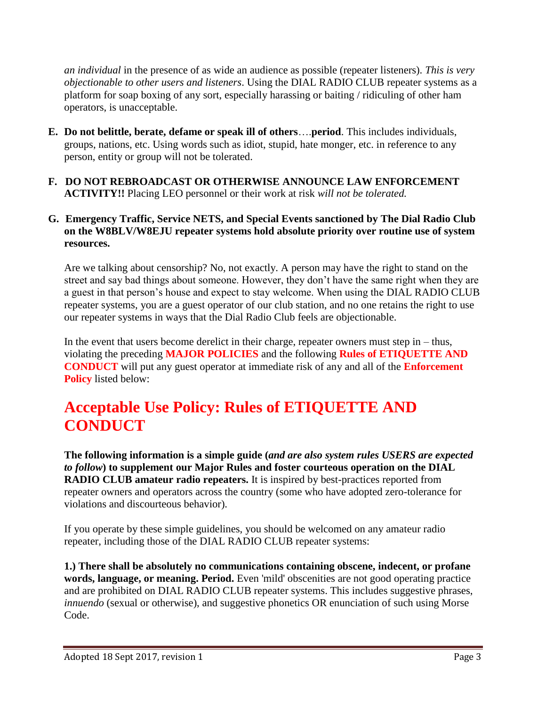*an individual* in the presence of as wide an audience as possible (repeater listeners). *This is very objectionable to other users and listeners*. Using the DIAL RADIO CLUB repeater systems as a platform for soap boxing of any sort, especially harassing or baiting / ridiculing of other ham operators, is unacceptable.

- **E. Do not belittle, berate, defame or speak ill of others**….**period**. This includes individuals, groups, nations, etc. Using words such as idiot, stupid, hate monger, etc. in reference to any person, entity or group will not be tolerated.
- **F. DO NOT REBROADCAST OR OTHERWISE ANNOUNCE LAW ENFORCEMENT ACTIVITY!!** Placing LEO personnel or their work at risk *will not be tolerated.*
- **G. Emergency Traffic, Service NETS, and Special Events sanctioned by The Dial Radio Club on the W8BLV/W8EJU repeater systems hold absolute priority over routine use of system resources.**

Are we talking about censorship? No, not exactly. A person may have the right to stand on the street and say bad things about someone. However, they don't have the same right when they are a guest in that person's house and expect to stay welcome. When using the DIAL RADIO CLUB repeater systems, you are a guest operator of our club station, and no one retains the right to use our repeater systems in ways that the Dial Radio Club feels are objectionable.

In the event that users become derelict in their charge, repeater owners must step in  $-$  thus, violating the preceding **MAJOR POLICIES** and the following **Rules of ETIQUETTE AND CONDUCT** will put any guest operator at immediate risk of any and all of the **Enforcement Policy** listed below:

## **Acceptable Use Policy: Rules of ETIQUETTE AND CONDUCT**

**The following information is a simple guide (***and are also system rules USERS are expected to follow***) to supplement our Major Rules and foster courteous operation on the DIAL RADIO CLUB amateur radio repeaters.** It is inspired by best-practices reported from repeater owners and operators across the country (some who have adopted zero-tolerance for violations and discourteous behavior).

If you operate by these simple guidelines, you should be welcomed on any amateur radio repeater, including those of the DIAL RADIO CLUB repeater systems:

**1.) 1.) There shall be absolutely no communications containing obscene, indecent, or profane words, language, or meaning. Period.** Even 'mild' obscenities are not good operating practice and are prohibited on DIAL RADIO CLUB repeater systems. This includes suggestive phrases, *innuendo* (sexual or otherwise), and suggestive phonetics OR enunciation of such using Morse Code.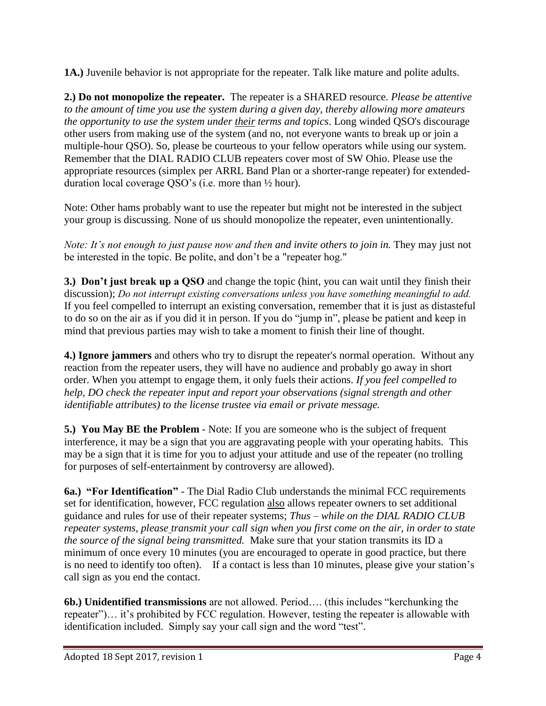**1A.)** Juvenile behavior is not appropriate for the repeater. Talk like mature and polite adults.

**2.) Do not monopolize the repeater.** The repeater is a SHARED resource. *Please be attentive to the amount of time you use the system during a given day, thereby allowing more amateurs the opportunity to use the system under their terms and topics*. Long winded QSO's discourage other users from making use of the system (and no, not everyone wants to break up or join a multiple-hour QSO). So, please be courteous to your fellow operators while using our system. Remember that the DIAL RADIO CLUB repeaters cover most of SW Ohio. Please use the appropriate resources (simplex per ARRL Band Plan or a shorter-range repeater) for extendedduration local coverage QSO's (i.e. more than ½ hour).

Note: Other hams probably want to use the repeater but might not be interested in the subject your group is discussing. None of us should monopolize the repeater, even unintentionally.

*Note: It's not enough to just pause now and then and invite others to join in.* They may just not be interested in the topic. Be polite, and don't be a "repeater hog."

**3.) Don't just break up a QSO** and change the topic (hint, you can wait until they finish their discussion); *Do not interrupt existing conversations unless you have something meaningful to add.* If you feel compelled to interrupt an existing conversation, remember that it is just as distasteful to do so on the air as if you did it in person. If you do "jump in", please be patient and keep in mind that previous parties may wish to take a moment to finish their line of thought.

**4.) Ignore jammers** and others who try to disrupt the repeater's normal operation. Without any reaction from the repeater users, they will have no audience and probably go away in short order. When you attempt to engage them, it only fuels their actions. *If you feel compelled to help, DO check the repeater input and report your observations (signal strength and other identifiable attributes) to the license trustee via email or private message.* 

**5.) You May BE the Problem** - Note: If you are someone who is the subject of frequent interference, it may be a sign that you are aggravating people with your operating habits. This may be a sign that it is time for you to adjust your attitude and use of the repeater (no trolling for purposes of self-entertainment by controversy are allowed).

**6a.) "For Identification"** - The Dial Radio Club understands the minimal FCC requirements set for identification, however, FCC regulation also allows repeater owners to set additional guidance and rules for use of their repeater systems; *Thus – while on the DIAL RADIO CLUB repeater systems, please transmit your call sign when you first come on the air, in order to state the source of the signal being transmitted.* Make sure that your station transmits its ID a minimum of once every 10 minutes (you are encouraged to operate in good practice, but there is no need to identify too often). If a contact is less than 10 minutes, please give your station's call sign as you end the contact.

**6b.) Unidentified transmissions** are not allowed. Period…. (this includes "kerchunking the repeater")… it's prohibited by FCC regulation. However, testing the repeater is allowable with identification included. Simply say your call sign and the word "test".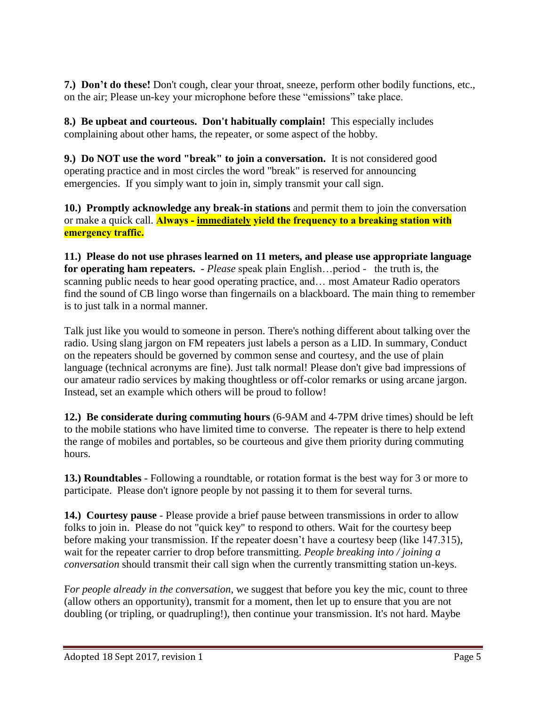**7.) Don't do these!** Don't cough, clear your throat, sneeze, perform other bodily functions, etc., on the air; Please un-key your microphone before these "emissions" take place.

**8.) Be upbeat and courteous. Don't habitually complain!** This especially includes complaining about other hams, the repeater, or some aspect of the hobby.

**9.) Do NOT use the word "break" to join a conversation.** It is not considered good operating practice and in most circles the word "break" is reserved for announcing emergencies. If you simply want to join in, simply transmit your call sign.

**10.) Promptly acknowledge any break-in stations** and permit them to join the conversation or make a quick call. **Always - immediately yield the frequency to a breaking station with emergency traffic.**

**11.) Please do not use phrases learned on 11 meters, and please use appropriate language for operating ham repeaters. -** *Please* speak plain English…period - the truth is, the scanning public needs to hear good operating practice, and… most Amateur Radio operators find the sound of CB lingo worse than fingernails on a blackboard. The main thing to remember is to just talk in a normal manner.

Talk just like you would to someone in person. There's nothing different about talking over the radio. Using slang jargon on FM repeaters just labels a person as a LID. In summary, Conduct on the repeaters should be governed by common sense and courtesy, and the use of plain language (technical acronyms are fine). Just talk normal! Please don't give bad impressions of our amateur radio services by making thoughtless or off-color remarks or using arcane jargon. Instead, set an example which others will be proud to follow!

**12.) Be considerate during commuting hours** (6-9AM and 4-7PM drive times) should be left to the mobile stations who have limited time to converse. The repeater is there to help extend the range of mobiles and portables, so be courteous and give them priority during commuting hours.

**13.) Roundtables** - Following a roundtable, or rotation format is the best way for 3 or more to participate. Please don't ignore people by not passing it to them for several turns.

**14.) Courtesy pause** - Please provide a brief pause between transmissions in order to allow folks to join in. Please do not "quick key" to respond to others. Wait for the courtesy beep before making your transmission. If the repeater doesn't have a courtesy beep (like 147.315), wait for the repeater carrier to drop before transmitting. *People breaking into / joining a conversation* should transmit their call sign when the currently transmitting station un-keys.

F*or people already in the conversation*, we suggest that before you key the mic, count to three (allow others an opportunity), transmit for a moment, then let up to ensure that you are not doubling (or tripling, or quadrupling!), then continue your transmission. It's not hard. Maybe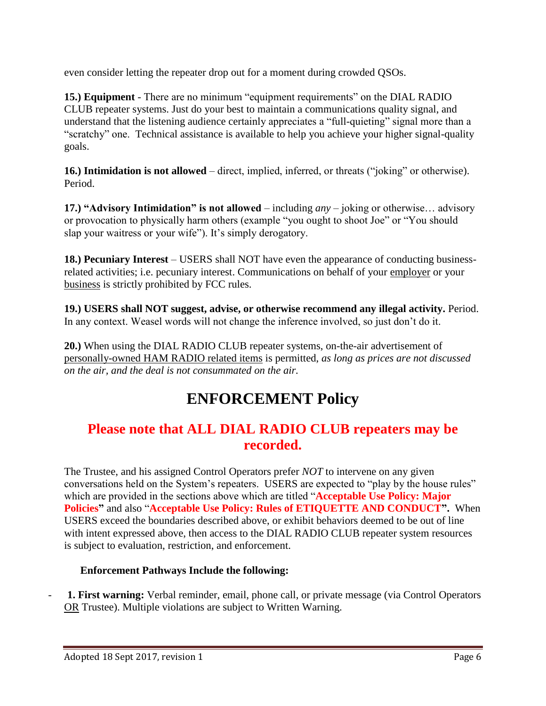even consider letting the repeater drop out for a moment during crowded QSOs.

**15.) Equipment** - There are no minimum "equipment requirements" on the DIAL RADIO CLUB repeater systems. Just do your best to maintain a communications quality signal, and understand that the listening audience certainly appreciates a "full-quieting" signal more than a "scratchy" one. Technical assistance is available to help you achieve your higher signal-quality goals.

**16.) Intimidation is not allowed** – direct, implied, inferred, or threats ("joking" or otherwise). Period.

**17.) "Advisory Intimidation" is not allowed** – including *any* – joking or otherwise… advisory or provocation to physically harm others (example "you ought to shoot Joe" or "You should slap your waitress or your wife"). It's simply derogatory.

**18.) Pecuniary Interest** – USERS shall NOT have even the appearance of conducting businessrelated activities; i.e. pecuniary interest. Communications on behalf of your employer or your business is strictly prohibited by FCC rules.

**19.) USERS shall NOT suggest, advise, or otherwise recommend any illegal activity.** Period. In any context. Weasel words will not change the inference involved, so just don't do it.

**20.)** When using the DIAL RADIO CLUB repeater systems, on-the-air advertisement of personally-owned HAM RADIO related items is permitted, *as long as prices are not discussed on the air, and the deal is not consummated on the air.* 

## **ENFORCEMENT Policy**

#### **Please note that ALL DIAL RADIO CLUB repeaters may be recorded.**

The Trustee, and his assigned Control Operators prefer *NOT* to intervene on any given conversations held on the System's repeaters. USERS are expected to "play by the house rules" which are provided in the sections above which are titled "**Acceptable Use Policy: Major Policies"** and also "**Acceptable Use Policy: Rules of ETIQUETTE AND CONDUCT".** When USERS exceed the boundaries described above, or exhibit behaviors deemed to be out of line with intent expressed above, then access to the DIAL RADIO CLUB repeater system resources is subject to evaluation, restriction, and enforcement.

#### **Enforcement Pathways Include the following:**

- **1. First warning:** Verbal reminder, email, phone call, or private message (via Control Operators OR Trustee). Multiple violations are subject to Written Warning.